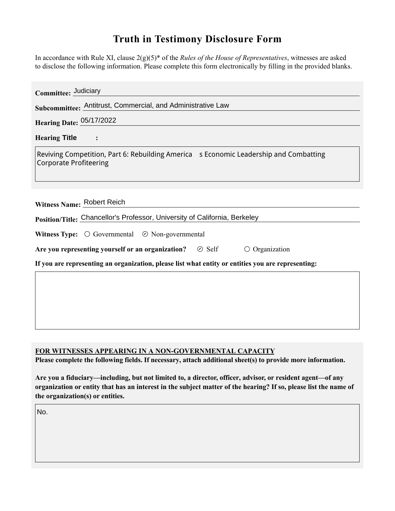## **Truth in Testimony Disclosure Form**

In accordance with Rule XI, clause 2(g)(5)\* of the *Rules of the House of Representatives*, witnesses are asked to disclose the following information. Please complete this form electronically by filling in the provided blanks.

| Committee: Judiciary                                                                                                   |
|------------------------------------------------------------------------------------------------------------------------|
| Subcommittee: Antitrust, Commercial, and Administrative Law                                                            |
| <b>Hearing Date: 05/17/2022</b>                                                                                        |
| <b>Hearing Title</b>                                                                                                   |
| Reviving Competition, Part 6: Rebuilding America s Economic Leadership and Combatting<br><b>Corporate Profiteering</b> |
| Witness Name: Robert Reich<br>Position/Title: Chancellor's Professor, University of California, Berkeley               |
| <b>Witness Type:</b> $\bigcirc$ Governmental $\bigcirc$ Non-governmental                                               |
| Are you representing yourself or an organization?<br>$\circ$ Organization<br>$\odot$ Self                              |
| If you are representing an organization, please list what entity or entities you are representing:                     |
|                                                                                                                        |

## **FOR WITNESSES APPEARING IN A NON-GOVERNMENTAL CAPACITY**

Please complete the following fields. If necessary, attach additional sheet(s) to provide more information.

**Are you a fiduciary—including, but not limited to, a director, officer, advisor, or resident agent—of any organization or entity that has an interest in the subject matter of the hearing? If so, please list the name of the organization(s) or entities.**

No.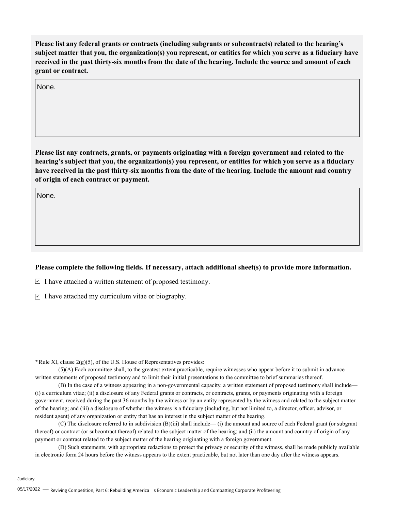**Please list any federal grants or contracts (including subgrants or subcontracts) related to the hearing's subject matter that you, the organization(s) you represent, or entities for which you serve as a fiduciary have received in the past thirty-six months from the date of the hearing. Include the source and amount of each grant or contract.** 

None.

**Please list any contracts, grants, or payments originating with a foreign government and related to the hearing's subject that you, the organization(s) you represent, or entities for which you serve as a fiduciary have received in the past thirty-six months from the date of the hearing. Include the amount and country of origin of each contract or payment.** 

None.

## **Please complete the following fields. If necessary, attach additional sheet(s) to provide more information.**

 $\trianglerighteq$  I have attached a written statement of proposed testimony.

 $\subseteq$  I have attached my curriculum vitae or biography.

**\***Rule XI, clause 2(g)(5), of the U.S. House of Representatives provides:

(5)(A) Each committee shall, to the greatest extent practicable, require witnesses who appear before it to submit in advance written statements of proposed testimony and to limit their initial presentations to the committee to brief summaries thereof.

(B) In the case of a witness appearing in a non-governmental capacity, a written statement of proposed testimony shall include— (i) a curriculum vitae; (ii) a disclosure of any Federal grants or contracts, or contracts, grants, or payments originating with a foreign government, received during the past 36 months by the witness or by an entity represented by the witness and related to the subject matter of the hearing; and (iii) a disclosure of whether the witness is a fiduciary (including, but not limited to, a director, officer, advisor, or resident agent) of any organization or entity that has an interest in the subject matter of the hearing.

(C) The disclosure referred to in subdivision (B)(iii) shall include— (i) the amount and source of each Federal grant (or subgrant thereof) or contract (or subcontract thereof) related to the subject matter of the hearing; and (ii) the amount and country of origin of any payment or contract related to the subject matter of the hearing originating with a foreign government.

(D) Such statements, with appropriate redactions to protect the privacy or security of the witness, shall be made publicly available in electronic form 24 hours before the witness appears to the extent practicable, but not later than one day after the witness appears.

Judiciary